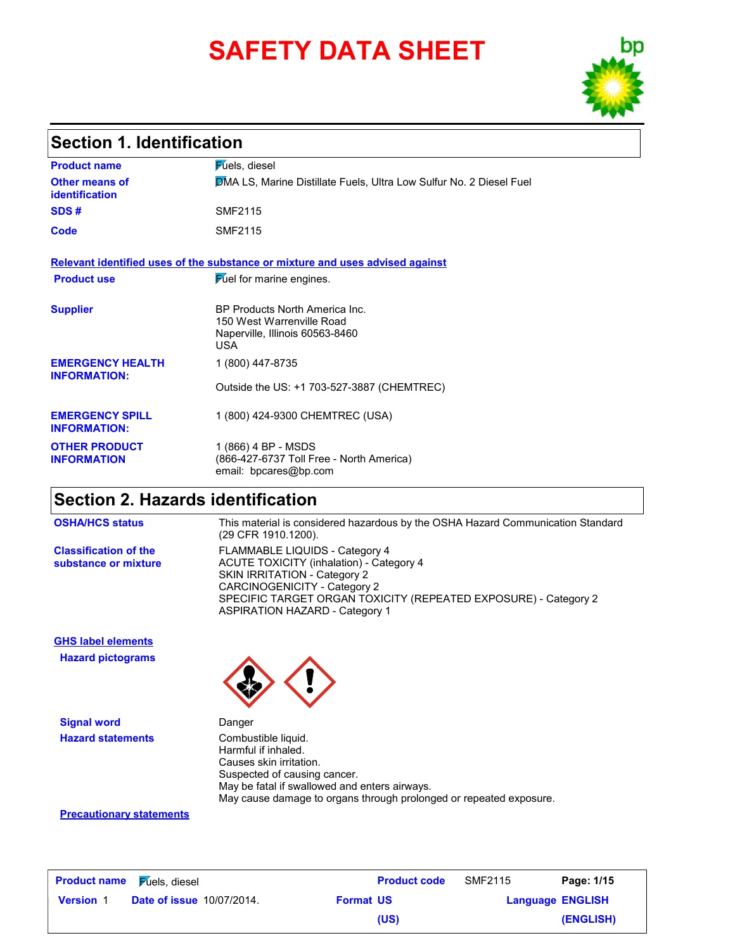# **SAFETY DATA SHEET**



### **Section 1. Identification**

| <b>Product name</b>                            | <b>Fuels</b> , diesel                                                                                        |
|------------------------------------------------|--------------------------------------------------------------------------------------------------------------|
| Other means of<br><b>identification</b>        | <b>DMA LS, Marine Distillate Fuels, Ultra Low Sulfur No. 2 Diesel Fuel</b>                                   |
| SDS#                                           | SMF2115                                                                                                      |
| <b>Code</b>                                    | <b>SMF2115</b>                                                                                               |
|                                                | Relevant identified uses of the substance or mixture and uses advised against                                |
| <b>Product use</b>                             | Fuel for marine engines.                                                                                     |
| <b>Supplier</b>                                | BP Products North America Inc.<br>150 West Warrenville Road<br>Naperville, Illinois 60563-8460<br><b>USA</b> |
| <b>EMERGENCY HEALTH</b><br><b>INFORMATION:</b> | 1 (800) 447-8735                                                                                             |
|                                                | Outside the US: +1 703-527-3887 (CHEMTREC)                                                                   |
| <b>EMERGENCY SPILL</b><br><b>INFORMATION:</b>  | 1 (800) 424-9300 CHEMTREC (USA)                                                                              |
| <b>OTHER PRODUCT</b><br><b>INFORMATION</b>     | 1 (866) 4 BP - MSDS<br>(866-427-6737 Toll Free - North America)<br>email: bpcares@bp.com                     |

## **Section 2. Hazards identification**

**Classification of the substance or mixture**

FLAMMABLE LIQUIDS - Category 4 ACUTE TOXICITY (inhalation) - Category 4 SKIN IRRITATION - Category 2 CARCINOGENICITY - Category 2 SPECIFIC TARGET ORGAN TOXICITY (REPEATED EXPOSURE) - Category 2 ASPIRATION HAZARD - Category 1 **OSHA/HCS status** This material is considered hazardous by the OSHA Hazard Communication Standard (29 CFR 1910.1200).

**Hazard pictograms GHS label elements**

**Signal word** Danger **Hazard statements Combustible liquid.** 



Harmful if inhaled. Causes skin irritation. Suspected of causing cancer. May be fatal if swallowed and enters airways. May cause damage to organs through prolonged or repeated exposure.

### **Precautionary statements**

| <b>Product name</b> | <b>Fuels</b> , diesel            |                  | <b>Product code</b> | SMF2115 | Page: 1/15              |
|---------------------|----------------------------------|------------------|---------------------|---------|-------------------------|
| <b>Version 1</b>    | <b>Date of issue 10/07/2014.</b> | <b>Format US</b> |                     |         | <b>Language ENGLISH</b> |
|                     |                                  |                  | (US)                |         | (ENGLISH)               |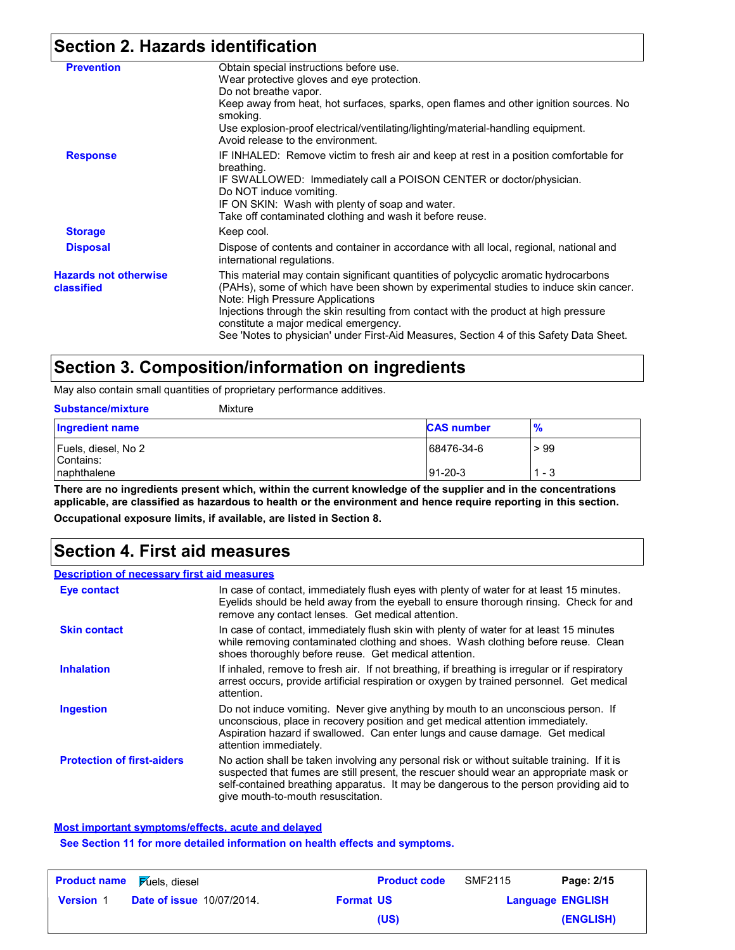## **Section 2. Hazards identification**

| <b>Prevention</b>                          | Obtain special instructions before use.<br>Wear protective gloves and eye protection.<br>Do not breathe vapor.<br>Keep away from heat, hot surfaces, sparks, open flames and other ignition sources. No<br>smoking.<br>Use explosion-proof electrical/ventilating/lighting/material-handling equipment.<br>Avoid release to the environment.                                                                                                 |
|--------------------------------------------|----------------------------------------------------------------------------------------------------------------------------------------------------------------------------------------------------------------------------------------------------------------------------------------------------------------------------------------------------------------------------------------------------------------------------------------------|
| <b>Response</b>                            | IF INHALED: Remove victim to fresh air and keep at rest in a position comfortable for<br>breathing.<br>IF SWALLOWED: Immediately call a POISON CENTER or doctor/physician.<br>Do NOT induce vomiting.<br>IF ON SKIN: Wash with plenty of soap and water.<br>Take off contaminated clothing and wash it before reuse.                                                                                                                         |
| <b>Storage</b>                             | Keep cool.                                                                                                                                                                                                                                                                                                                                                                                                                                   |
| <b>Disposal</b>                            | Dispose of contents and container in accordance with all local, regional, national and<br>international regulations.                                                                                                                                                                                                                                                                                                                         |
| <b>Hazards not otherwise</b><br>classified | This material may contain significant quantities of polycyclic aromatic hydrocarbons<br>(PAHs), some of which have been shown by experimental studies to induce skin cancer.<br>Note: High Pressure Applications<br>Injections through the skin resulting from contact with the product at high pressure<br>constitute a major medical emergency.<br>See 'Notes to physician' under First-Aid Measures, Section 4 of this Safety Data Sheet. |
|                                            |                                                                                                                                                                                                                                                                                                                                                                                                                                              |

## **Section 3. Composition/information on ingredients**

May also contain small quantities of proprietary performance additives.

| <b>Substance/mixture</b>                        | Mixture |                         |                |
|-------------------------------------------------|---------|-------------------------|----------------|
| <b>Ingredient name</b>                          |         | <b>CAS number</b>       | $\frac{9}{6}$  |
| Fuels, diesel, No 2<br>Contains:<br>naphthalene |         | 68476-34-6<br>$91-20-3$ | >99<br>$1 - 3$ |

**There are no ingredients present which, within the current knowledge of the supplier and in the concentrations applicable, are classified as hazardous to health or the environment and hence require reporting in this section. Occupational exposure limits, if available, are listed in Section 8.**

### **Section 4. First aid measures**

### **Description of necessary first aid measures**

| <b>Eye contact</b>                | In case of contact, immediately flush eyes with plenty of water for at least 15 minutes.<br>Eyelids should be held away from the eyeball to ensure thorough rinsing. Check for and<br>remove any contact lenses. Get medical attention.                                                                               |
|-----------------------------------|-----------------------------------------------------------------------------------------------------------------------------------------------------------------------------------------------------------------------------------------------------------------------------------------------------------------------|
| <b>Skin contact</b>               | In case of contact, immediately flush skin with plenty of water for at least 15 minutes<br>while removing contaminated clothing and shoes. Wash clothing before reuse. Clean<br>shoes thoroughly before reuse. Get medical attention.                                                                                 |
| <b>Inhalation</b>                 | If inhaled, remove to fresh air. If not breathing, if breathing is irregular or if respiratory<br>arrest occurs, provide artificial respiration or oxygen by trained personnel. Get medical<br>attention.                                                                                                             |
| <b>Ingestion</b>                  | Do not induce vomiting. Never give anything by mouth to an unconscious person. If<br>unconscious, place in recovery position and get medical attention immediately.<br>Aspiration hazard if swallowed. Can enter lungs and cause damage. Get medical<br>attention immediately.                                        |
| <b>Protection of first-aiders</b> | No action shall be taken involving any personal risk or without suitable training. If it is<br>suspected that fumes are still present, the rescuer should wear an appropriate mask or<br>self-contained breathing apparatus. It may be dangerous to the person providing aid to<br>give mouth-to-mouth resuscitation. |

#### **Most important symptoms/effects, acute and delayed**

**See Section 11 for more detailed information on health effects and symptoms.**

| <b>Product name</b> | <b>Fuels</b> , diesel            |                  | <b>Product code</b> | SMF2115                 | Page: 2/15 |
|---------------------|----------------------------------|------------------|---------------------|-------------------------|------------|
| <b>Version 1</b>    | <b>Date of issue 10/07/2014.</b> | <b>Format US</b> |                     | <b>Language ENGLISH</b> |            |
|                     |                                  |                  | (US)                |                         | (ENGLISH)  |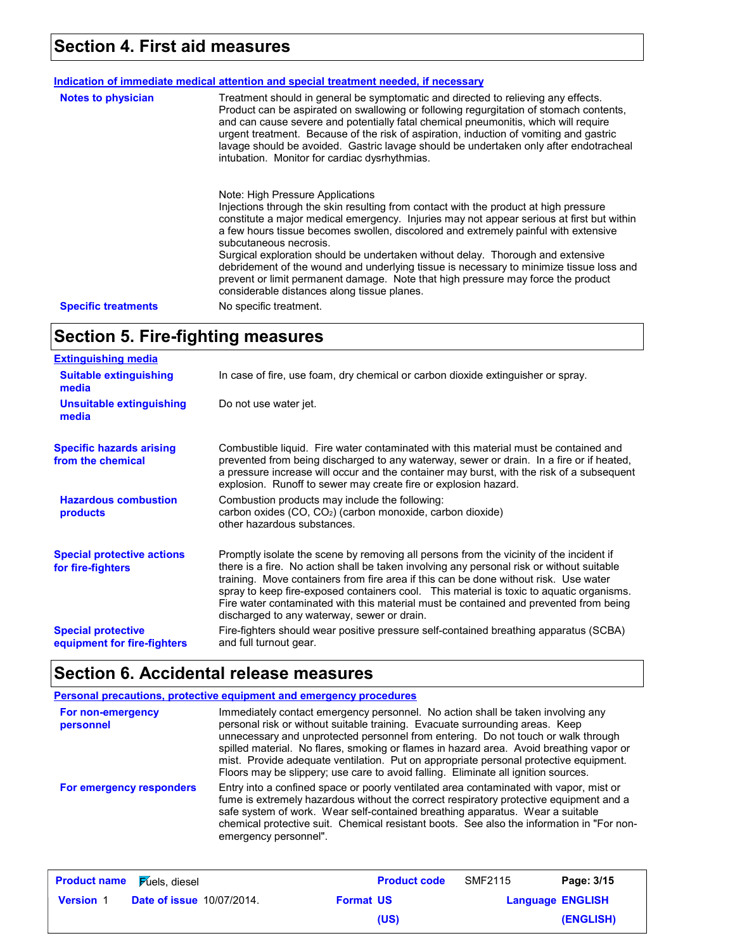## **Section 4. First aid measures**

| <b>Notes to physician</b>  | Treatment should in general be symptomatic and directed to relieving any effects.<br>Product can be aspirated on swallowing or following regurgitation of stomach contents,<br>and can cause severe and potentially fatal chemical pneumonitis, which will require<br>urgent treatment. Because of the risk of aspiration, induction of vomiting and gastric<br>lavage should be avoided. Gastric lavage should be undertaken only after endotracheal<br>intubation. Monitor for cardiac dysrhythmias.                                                                                                                                                  |
|----------------------------|---------------------------------------------------------------------------------------------------------------------------------------------------------------------------------------------------------------------------------------------------------------------------------------------------------------------------------------------------------------------------------------------------------------------------------------------------------------------------------------------------------------------------------------------------------------------------------------------------------------------------------------------------------|
|                            | Note: High Pressure Applications<br>Injections through the skin resulting from contact with the product at high pressure<br>constitute a major medical emergency. Injuries may not appear serious at first but within<br>a few hours tissue becomes swollen, discolored and extremely painful with extensive<br>subcutaneous necrosis.<br>Surgical exploration should be undertaken without delay. Thorough and extensive<br>debridement of the wound and underlying tissue is necessary to minimize tissue loss and<br>prevent or limit permanent damage. Note that high pressure may force the product<br>considerable distances along tissue planes. |
| <b>Specific treatments</b> | No specific treatment.                                                                                                                                                                                                                                                                                                                                                                                                                                                                                                                                                                                                                                  |

## **Section 5. Fire-fighting measures**

| <b>Extinguishing media</b>                               |                                                                                                                                                                                                                                                                                                                                                                                                                                                                                                                  |
|----------------------------------------------------------|------------------------------------------------------------------------------------------------------------------------------------------------------------------------------------------------------------------------------------------------------------------------------------------------------------------------------------------------------------------------------------------------------------------------------------------------------------------------------------------------------------------|
| <b>Suitable extinguishing</b><br>media                   | In case of fire, use foam, dry chemical or carbon dioxide extinguisher or spray.                                                                                                                                                                                                                                                                                                                                                                                                                                 |
| Unsuitable extinguishing<br>media                        | Do not use water jet.                                                                                                                                                                                                                                                                                                                                                                                                                                                                                            |
| <b>Specific hazards arising</b><br>from the chemical     | Combustible liquid. Fire water contaminated with this material must be contained and<br>prevented from being discharged to any waterway, sewer or drain. In a fire or if heated,<br>a pressure increase will occur and the container may burst, with the risk of a subsequent<br>explosion. Runoff to sewer may create fire or explosion hazard.                                                                                                                                                                 |
| <b>Hazardous combustion</b><br>products                  | Combustion products may include the following:<br>carbon oxides (CO, CO <sub>2</sub> ) (carbon monoxide, carbon dioxide)<br>other hazardous substances.                                                                                                                                                                                                                                                                                                                                                          |
| <b>Special protective actions</b><br>for fire-fighters   | Promptly isolate the scene by removing all persons from the vicinity of the incident if<br>there is a fire. No action shall be taken involving any personal risk or without suitable<br>training. Move containers from fire area if this can be done without risk. Use water<br>spray to keep fire-exposed containers cool. This material is toxic to aquatic organisms.<br>Fire water contaminated with this material must be contained and prevented from being<br>discharged to any waterway, sewer or drain. |
| <b>Special protective</b><br>equipment for fire-fighters | Fire-fighters should wear positive pressure self-contained breathing apparatus (SCBA)<br>and full turnout gear.                                                                                                                                                                                                                                                                                                                                                                                                  |

# **Section 6. Accidental release measures**

|                                | <b>Personal precautions, protective equipment and emergency procedures</b>                                                                                                                                                                                                                                                                                                                                                                                                                                                     |
|--------------------------------|--------------------------------------------------------------------------------------------------------------------------------------------------------------------------------------------------------------------------------------------------------------------------------------------------------------------------------------------------------------------------------------------------------------------------------------------------------------------------------------------------------------------------------|
| For non-emergency<br>personnel | Immediately contact emergency personnel. No action shall be taken involving any<br>personal risk or without suitable training. Evacuate surrounding areas. Keep<br>unnecessary and unprotected personnel from entering. Do not touch or walk through<br>spilled material. No flares, smoking or flames in hazard area. Avoid breathing vapor or<br>mist. Provide adequate ventilation. Put on appropriate personal protective equipment.<br>Floors may be slippery; use care to avoid falling. Eliminate all ignition sources. |
| For emergency responders       | Entry into a confined space or poorly ventilated area contaminated with vapor, mist or<br>fume is extremely hazardous without the correct respiratory protective equipment and a<br>safe system of work. Wear self-contained breathing apparatus. Wear a suitable<br>chemical protective suit. Chemical resistant boots. See also the information in "For non-<br>emergency personnel".                                                                                                                                        |

| <b>Product name</b> | $\mathsf F$ úels, diesel         |                  | <b>Product code</b> | SMF2115 | Page: 3/15              |
|---------------------|----------------------------------|------------------|---------------------|---------|-------------------------|
| <b>Version 1</b>    | <b>Date of issue 10/07/2014.</b> | <b>Format US</b> |                     |         | <b>Language ENGLISH</b> |
|                     |                                  |                  | (US)                |         | (ENGLISH)               |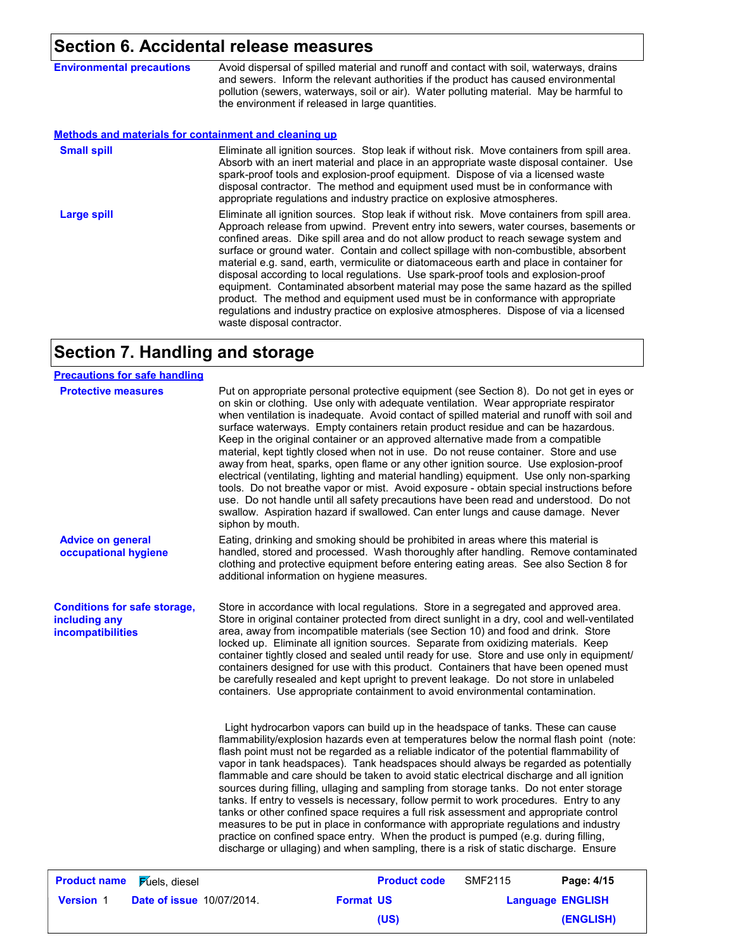## **Section 6. Accidental release measures**

**Environmental precautions** Avoid dispersal of spilled material and runoff and contact with soil, waterways, drains and sewers. Inform the relevant authorities if the product has caused environmental pollution (sewers, waterways, soil or air). Water polluting material. May be harmful to the environment if released in large quantities.

#### **Methods and materials for containment and cleaning up**

| <b>Small spill</b> | Eliminate all ignition sources. Stop leak if without risk. Move containers from spill area.<br>Absorb with an inert material and place in an appropriate waste disposal container. Use<br>spark-proof tools and explosion-proof equipment. Dispose of via a licensed waste<br>disposal contractor. The method and equipment used must be in conformance with<br>appropriate regulations and industry practice on explosive atmospheres.                                                                                                                                                                                                                                                                                                                                                                                                             |
|--------------------|-----------------------------------------------------------------------------------------------------------------------------------------------------------------------------------------------------------------------------------------------------------------------------------------------------------------------------------------------------------------------------------------------------------------------------------------------------------------------------------------------------------------------------------------------------------------------------------------------------------------------------------------------------------------------------------------------------------------------------------------------------------------------------------------------------------------------------------------------------|
| Large spill        | Eliminate all ignition sources. Stop leak if without risk. Move containers from spill area.<br>Approach release from upwind. Prevent entry into sewers, water courses, basements or<br>confined areas. Dike spill area and do not allow product to reach sewage system and<br>surface or ground water. Contain and collect spillage with non-combustible, absorbent<br>material e.g. sand, earth, vermiculite or diatomaceous earth and place in container for<br>disposal according to local regulations. Use spark-proof tools and explosion-proof<br>equipment. Contaminated absorbent material may pose the same hazard as the spilled<br>product. The method and equipment used must be in conformance with appropriate<br>regulations and industry practice on explosive atmospheres. Dispose of via a licensed<br>waste disposal contractor. |

## **Section 7. Handling and storage**

| <b>Precautions for safe handling</b>                                             |                           |                  |                                                                                                                                                                                                                                                                                                                                                                                                                                                                                                                                                                                                                                                                                                                                                                                                                                                                                                                                                                                                                  |                |                         |
|----------------------------------------------------------------------------------|---------------------------|------------------|------------------------------------------------------------------------------------------------------------------------------------------------------------------------------------------------------------------------------------------------------------------------------------------------------------------------------------------------------------------------------------------------------------------------------------------------------------------------------------------------------------------------------------------------------------------------------------------------------------------------------------------------------------------------------------------------------------------------------------------------------------------------------------------------------------------------------------------------------------------------------------------------------------------------------------------------------------------------------------------------------------------|----------------|-------------------------|
| <b>Protective measures</b>                                                       |                           | siphon by mouth. | Put on appropriate personal protective equipment (see Section 8). Do not get in eyes or<br>on skin or clothing. Use only with adequate ventilation. Wear appropriate respirator<br>when ventilation is inadequate. Avoid contact of spilled material and runoff with soil and<br>surface waterways. Empty containers retain product residue and can be hazardous.<br>Keep in the original container or an approved alternative made from a compatible<br>material, kept tightly closed when not in use. Do not reuse container. Store and use<br>away from heat, sparks, open flame or any other ignition source. Use explosion-proof<br>electrical (ventilating, lighting and material handling) equipment. Use only non-sparking<br>tools. Do not breathe vapor or mist. Avoid exposure - obtain special instructions before<br>use. Do not handle until all safety precautions have been read and understood. Do not<br>swallow. Aspiration hazard if swallowed. Can enter lungs and cause damage. Never      |                |                         |
| <b>Advice on general</b><br>occupational hygiene                                 |                           |                  | Eating, drinking and smoking should be prohibited in areas where this material is<br>handled, stored and processed. Wash thoroughly after handling. Remove contaminated<br>clothing and protective equipment before entering eating areas. See also Section 8 for<br>additional information on hygiene measures.                                                                                                                                                                                                                                                                                                                                                                                                                                                                                                                                                                                                                                                                                                 |                |                         |
| <b>Conditions for safe storage,</b><br>including any<br><b>incompatibilities</b> |                           |                  | Store in accordance with local regulations. Store in a segregated and approved area.<br>Store in original container protected from direct sunlight in a dry, cool and well-ventilated<br>area, away from incompatible materials (see Section 10) and food and drink. Store<br>locked up. Eliminate all ignition sources. Separate from oxidizing materials. Keep<br>container tightly closed and sealed until ready for use. Store and use only in equipment/<br>containers designed for use with this product. Containers that have been opened must<br>be carefully resealed and kept upright to prevent leakage. Do not store in unlabeled<br>containers. Use appropriate containment to avoid environmental contamination.                                                                                                                                                                                                                                                                                   |                |                         |
|                                                                                  |                           |                  | Light hydrocarbon vapors can build up in the headspace of tanks. These can cause<br>flammability/explosion hazards even at temperatures below the normal flash point (note:<br>flash point must not be regarded as a reliable indicator of the potential flammability of<br>vapor in tank headspaces). Tank headspaces should always be regarded as potentially<br>flammable and care should be taken to avoid static electrical discharge and all ignition<br>sources during filling, ullaging and sampling from storage tanks. Do not enter storage<br>tanks. If entry to vessels is necessary, follow permit to work procedures. Entry to any<br>tanks or other confined space requires a full risk assessment and appropriate control<br>measures to be put in place in conformance with appropriate regulations and industry<br>practice on confined space entry. When the product is pumped (e.g. during filling,<br>discharge or ullaging) and when sampling, there is a risk of static discharge. Ensure |                |                         |
| <b>Product name</b>                                                              | <b>Fuels</b> , diesel     |                  | <b>Product code</b>                                                                                                                                                                                                                                                                                                                                                                                                                                                                                                                                                                                                                                                                                                                                                                                                                                                                                                                                                                                              | <b>SMF2115</b> | Page: 4/15              |
| <b>Version 1</b>                                                                 | Date of issue 10/07/2014. |                  | <b>Format US</b>                                                                                                                                                                                                                                                                                                                                                                                                                                                                                                                                                                                                                                                                                                                                                                                                                                                                                                                                                                                                 |                | <b>Language ENGLISH</b> |
|                                                                                  |                           |                  | (US)                                                                                                                                                                                                                                                                                                                                                                                                                                                                                                                                                                                                                                                                                                                                                                                                                                                                                                                                                                                                             |                | (ENGLISH)               |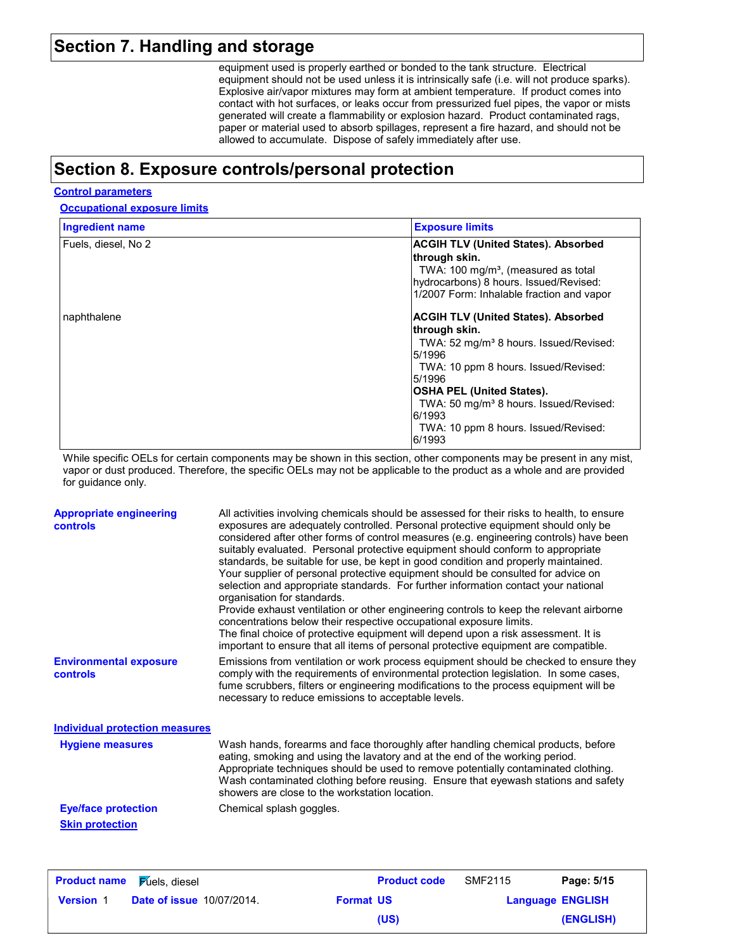### **Section 7. Handling and storage**

equipment used is properly earthed or bonded to the tank structure. Electrical equipment should not be used unless it is intrinsically safe (i.e. will not produce sparks). Explosive air/vapor mixtures may form at ambient temperature. If product comes into contact with hot surfaces, or leaks occur from pressurized fuel pipes, the vapor or mists generated will create a flammability or explosion hazard. Product contaminated rags, paper or material used to absorb spillages, represent a fire hazard, and should not be allowed to accumulate. Dispose of safely immediately after use.

## **Section 8. Exposure controls/personal protection**

### **Control parameters**

**Occupational exposure limits**

| <b>Ingredient name</b> | <b>Exposure limits</b>                                                                                                                                                                                                                                                                                                         |
|------------------------|--------------------------------------------------------------------------------------------------------------------------------------------------------------------------------------------------------------------------------------------------------------------------------------------------------------------------------|
| Fuels, diesel, No 2    | <b>ACGIH TLV (United States). Absorbed</b><br>∣through skin.<br>TWA: 100 mg/m <sup>3</sup> , (measured as total<br>hydrocarbons) 8 hours. Issued/Revised:<br>1/2007 Form: Inhalable fraction and vapor                                                                                                                         |
| naphthalene            | <b>ACGIH TLV (United States). Absorbed</b><br>∣through skin.<br>TWA: 52 mg/m <sup>3</sup> 8 hours. Issued/Revised:<br>5/1996<br>TWA: 10 ppm 8 hours. Issued/Revised:<br>5/1996<br> OSHA PEL (United States).<br>TWA: 50 mg/m <sup>3</sup> 8 hours. Issued/Revised:<br>6/1993<br>TWA: 10 ppm 8 hours. Issued/Revised:<br>6/1993 |

While specific OELs for certain components may be shown in this section, other components may be present in any mist, vapor or dust produced. Therefore, the specific OELs may not be applicable to the product as a whole and are provided for guidance only.

| <b>Appropriate engineering</b><br><b>controls</b> | All activities involving chemicals should be assessed for their risks to health, to ensure<br>exposures are adequately controlled. Personal protective equipment should only be<br>considered after other forms of control measures (e.g. engineering controls) have been<br>suitably evaluated. Personal protective equipment should conform to appropriate<br>standards, be suitable for use, be kept in good condition and properly maintained.<br>Your supplier of personal protective equipment should be consulted for advice on<br>selection and appropriate standards. For further information contact your national<br>organisation for standards.<br>Provide exhaust ventilation or other engineering controls to keep the relevant airborne<br>concentrations below their respective occupational exposure limits.<br>The final choice of protective equipment will depend upon a risk assessment. It is<br>important to ensure that all items of personal protective equipment are compatible. |
|---------------------------------------------------|------------------------------------------------------------------------------------------------------------------------------------------------------------------------------------------------------------------------------------------------------------------------------------------------------------------------------------------------------------------------------------------------------------------------------------------------------------------------------------------------------------------------------------------------------------------------------------------------------------------------------------------------------------------------------------------------------------------------------------------------------------------------------------------------------------------------------------------------------------------------------------------------------------------------------------------------------------------------------------------------------------|
| <b>Environmental exposure</b><br><b>controls</b>  | Emissions from ventilation or work process equipment should be checked to ensure they<br>comply with the requirements of environmental protection legislation. In some cases,<br>fume scrubbers, filters or engineering modifications to the process equipment will be<br>necessary to reduce emissions to acceptable levels.                                                                                                                                                                                                                                                                                                                                                                                                                                                                                                                                                                                                                                                                              |
| <b>Individual protection measures</b>             |                                                                                                                                                                                                                                                                                                                                                                                                                                                                                                                                                                                                                                                                                                                                                                                                                                                                                                                                                                                                            |
| <b>Hygiene measures</b>                           | Wash hands, forearms and face thoroughly after handling chemical products, before<br>eating, smoking and using the lavatory and at the end of the working period.<br>Appropriate techniques should be used to remove potentially contaminated clothing.<br>Wash contaminated clothing before reusing. Ensure that eyewash stations and safety<br>showers are close to the workstation location.                                                                                                                                                                                                                                                                                                                                                                                                                                                                                                                                                                                                            |
| <b>Eye/face protection</b>                        | Chemical splash goggles.                                                                                                                                                                                                                                                                                                                                                                                                                                                                                                                                                                                                                                                                                                                                                                                                                                                                                                                                                                                   |
| <b>Skin protection</b>                            |                                                                                                                                                                                                                                                                                                                                                                                                                                                                                                                                                                                                                                                                                                                                                                                                                                                                                                                                                                                                            |

| <b>Product name</b> | <b>Fuels</b> , diesel            |                  | <b>Product code</b> | SMF2115                 | Page: 5/15 |
|---------------------|----------------------------------|------------------|---------------------|-------------------------|------------|
| <b>Version 1</b>    | <b>Date of issue 10/07/2014.</b> | <b>Format US</b> |                     | <b>Language ENGLISH</b> |            |
|                     |                                  |                  | (US)                |                         | (ENGLISH)  |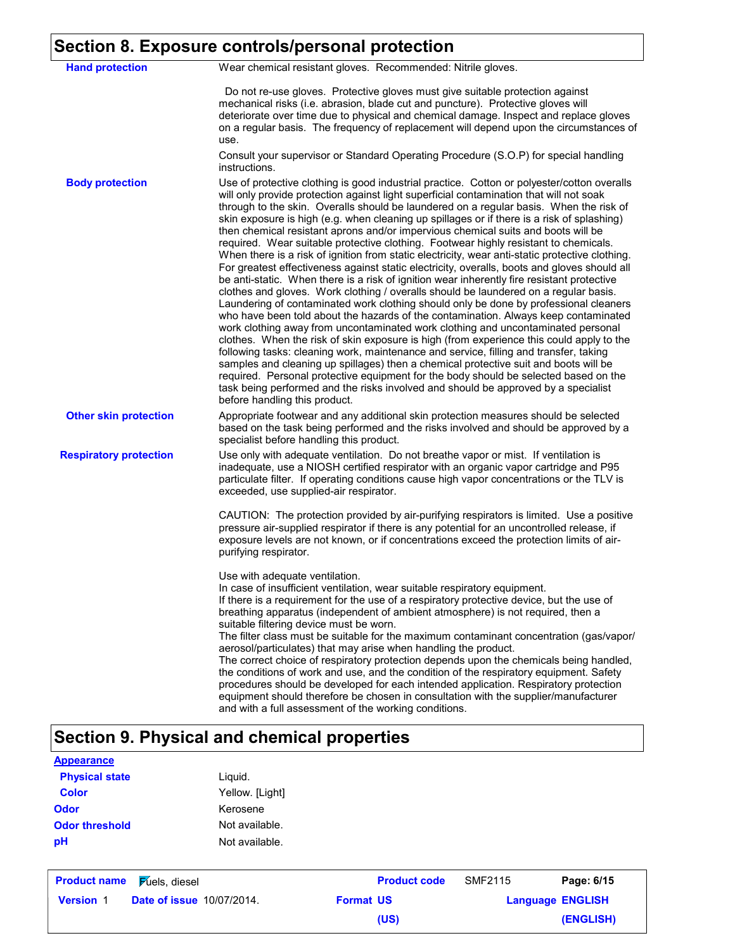# **Section 8. Exposure controls/personal protection**

| <b>Hand protection</b>        | Wear chemical resistant gloves. Recommended: Nitrile gloves.                                                                                                                                                                                                                                                                                                                                                                                                                                                                                                                                                                                                                                                                                                                                                                                                                                                                                                                                                                                                                                                                                                                                                                                                                                                                                                                                                                                                                                                                                                                                                                                                                                                         |
|-------------------------------|----------------------------------------------------------------------------------------------------------------------------------------------------------------------------------------------------------------------------------------------------------------------------------------------------------------------------------------------------------------------------------------------------------------------------------------------------------------------------------------------------------------------------------------------------------------------------------------------------------------------------------------------------------------------------------------------------------------------------------------------------------------------------------------------------------------------------------------------------------------------------------------------------------------------------------------------------------------------------------------------------------------------------------------------------------------------------------------------------------------------------------------------------------------------------------------------------------------------------------------------------------------------------------------------------------------------------------------------------------------------------------------------------------------------------------------------------------------------------------------------------------------------------------------------------------------------------------------------------------------------------------------------------------------------------------------------------------------------|
|                               | Do not re-use gloves. Protective gloves must give suitable protection against<br>mechanical risks (i.e. abrasion, blade cut and puncture). Protective gloves will<br>deteriorate over time due to physical and chemical damage. Inspect and replace gloves<br>on a regular basis. The frequency of replacement will depend upon the circumstances of<br>use.<br>Consult your supervisor or Standard Operating Procedure (S.O.P) for special handling<br>instructions.                                                                                                                                                                                                                                                                                                                                                                                                                                                                                                                                                                                                                                                                                                                                                                                                                                                                                                                                                                                                                                                                                                                                                                                                                                                |
| <b>Body protection</b>        | Use of protective clothing is good industrial practice. Cotton or polyester/cotton overalls<br>will only provide protection against light superficial contamination that will not soak<br>through to the skin. Overalls should be laundered on a regular basis. When the risk of<br>skin exposure is high (e.g. when cleaning up spillages or if there is a risk of splashing)<br>then chemical resistant aprons and/or impervious chemical suits and boots will be<br>required. Wear suitable protective clothing. Footwear highly resistant to chemicals.<br>When there is a risk of ignition from static electricity, wear anti-static protective clothing.<br>For greatest effectiveness against static electricity, overalls, boots and gloves should all<br>be anti-static. When there is a risk of ignition wear inherently fire resistant protective<br>clothes and gloves. Work clothing / overalls should be laundered on a regular basis.<br>Laundering of contaminated work clothing should only be done by professional cleaners<br>who have been told about the hazards of the contamination. Always keep contaminated<br>work clothing away from uncontaminated work clothing and uncontaminated personal<br>clothes. When the risk of skin exposure is high (from experience this could apply to the<br>following tasks: cleaning work, maintenance and service, filling and transfer, taking<br>samples and cleaning up spillages) then a chemical protective suit and boots will be<br>required. Personal protective equipment for the body should be selected based on the<br>task being performed and the risks involved and should be approved by a specialist<br>before handling this product. |
| <b>Other skin protection</b>  | Appropriate footwear and any additional skin protection measures should be selected<br>based on the task being performed and the risks involved and should be approved by a<br>specialist before handling this product.                                                                                                                                                                                                                                                                                                                                                                                                                                                                                                                                                                                                                                                                                                                                                                                                                                                                                                                                                                                                                                                                                                                                                                                                                                                                                                                                                                                                                                                                                              |
| <b>Respiratory protection</b> | Use only with adequate ventilation. Do not breathe vapor or mist. If ventilation is<br>inadequate, use a NIOSH certified respirator with an organic vapor cartridge and P95<br>particulate filter. If operating conditions cause high vapor concentrations or the TLV is<br>exceeded, use supplied-air respirator.<br>CAUTION: The protection provided by air-purifying respirators is limited. Use a positive<br>pressure air-supplied respirator if there is any potential for an uncontrolled release, if<br>exposure levels are not known, or if concentrations exceed the protection limits of air-<br>purifying respirator.                                                                                                                                                                                                                                                                                                                                                                                                                                                                                                                                                                                                                                                                                                                                                                                                                                                                                                                                                                                                                                                                                    |
|                               | Use with adequate ventilation.<br>In case of insufficient ventilation, wear suitable respiratory equipment.<br>If there is a requirement for the use of a respiratory protective device, but the use of<br>breathing apparatus (independent of ambient atmosphere) is not required, then a<br>suitable filtering device must be worn.<br>The filter class must be suitable for the maximum contaminant concentration (gas/vapor/<br>aerosol/particulates) that may arise when handling the product.<br>The correct choice of respiratory protection depends upon the chemicals being handled,<br>the conditions of work and use, and the condition of the respiratory equipment. Safety<br>procedures should be developed for each intended application. Respiratory protection<br>equipment should therefore be chosen in consultation with the supplier/manufacturer<br>and with a full assessment of the working conditions.                                                                                                                                                                                                                                                                                                                                                                                                                                                                                                                                                                                                                                                                                                                                                                                      |

# **Section 9. Physical and chemical properties**

| <b>Appearance</b>     |                 |
|-----------------------|-----------------|
| <b>Physical state</b> | Liguid.         |
| Color                 | Yellow. [Light] |
| Odor                  | Kerosene        |
| <b>Odor threshold</b> | Not available.  |
| рH                    | Not available.  |

| <b>Product name</b> | Fuels, diesel                    |                  | <b>Product code</b> | SMF2115                 | Page: 6/15 |
|---------------------|----------------------------------|------------------|---------------------|-------------------------|------------|
| <b>Version 1</b>    | <b>Date of issue 10/07/2014.</b> | <b>Format US</b> |                     | <b>Language ENGLISH</b> |            |
|                     |                                  |                  | (US)                |                         | (ENGLISH)  |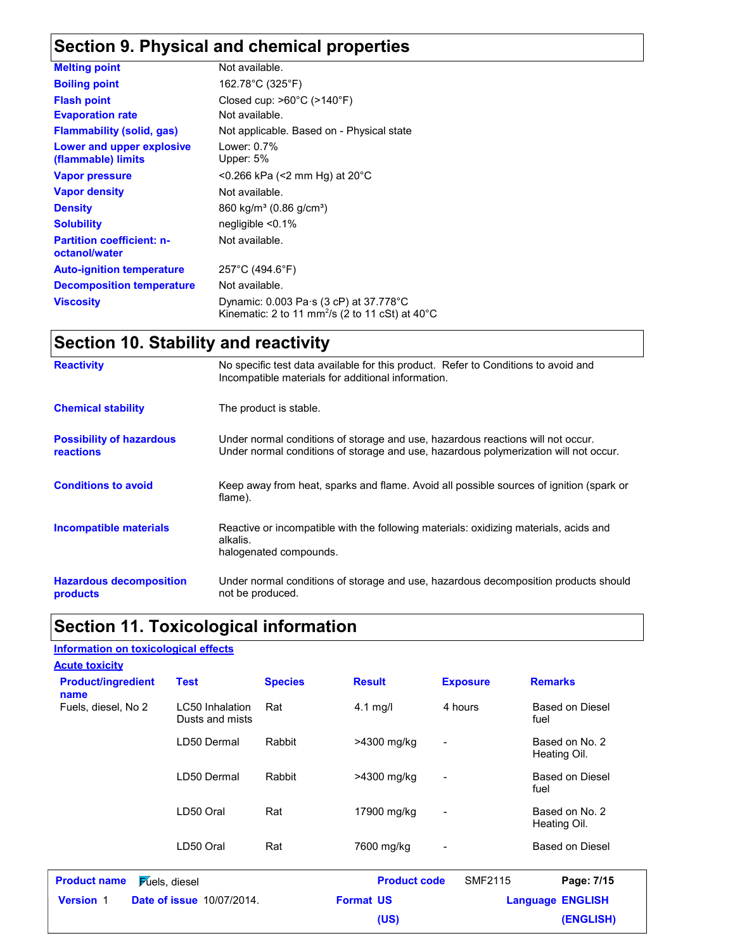# **Section 9. Physical and chemical properties**

| <b>Melting point</b>                              | Not available.                                                                                                                         |
|---------------------------------------------------|----------------------------------------------------------------------------------------------------------------------------------------|
| <b>Boiling point</b>                              | 162.78°C (325°F)                                                                                                                       |
| <b>Flash point</b>                                | Closed cup: $>60^{\circ}$ C ( $>140^{\circ}$ F)                                                                                        |
| <b>Evaporation rate</b>                           | Not available.                                                                                                                         |
| <b>Flammability (solid, gas)</b>                  | Not applicable. Based on - Physical state                                                                                              |
| Lower and upper explosive<br>(flammable) limits   | Lower: $0.7\%$<br>Upper: 5%                                                                                                            |
| <b>Vapor pressure</b>                             | $<$ 0.266 kPa ( $<$ 2 mm Hg) at 20 $^{\circ}$ C                                                                                        |
| <b>Vapor density</b>                              | Not available.                                                                                                                         |
| <b>Density</b>                                    | 860 kg/m <sup>3</sup> (0.86 g/cm <sup>3</sup> )                                                                                        |
| <b>Solubility</b>                                 | $neq$ liqible $\leq 0.1\%$                                                                                                             |
| <b>Partition coefficient: n-</b><br>octanol/water | Not available.                                                                                                                         |
| <b>Auto-ignition temperature</b>                  | $257^{\circ}$ C (494.6 $^{\circ}$ F)                                                                                                   |
| <b>Decomposition temperature</b>                  | Not available.                                                                                                                         |
| <b>Viscosity</b>                                  | Dynamic: $0.003 \text{ Pa} \cdot \text{s}$ (3 cP) at $37.778 \text{°C}$<br>Kinematic: 2 to 11 mm <sup>2</sup> /s (2 to 11 cSt) at 40°C |

# **Section 10. Stability and reactivity**

| <b>Reactivity</b>                                   | No specific test data available for this product. Refer to Conditions to avoid and<br>Incompatible materials for additional information.                                |
|-----------------------------------------------------|-------------------------------------------------------------------------------------------------------------------------------------------------------------------------|
| <b>Chemical stability</b>                           | The product is stable.                                                                                                                                                  |
| <b>Possibility of hazardous</b><br><b>reactions</b> | Under normal conditions of storage and use, hazardous reactions will not occur.<br>Under normal conditions of storage and use, hazardous polymerization will not occur. |
| <b>Conditions to avoid</b>                          | Keep away from heat, sparks and flame. Avoid all possible sources of ignition (spark or<br>flame).                                                                      |
| <b>Incompatible materials</b>                       | Reactive or incompatible with the following materials: oxidizing materials, acids and<br>alkalis.<br>halogenated compounds.                                             |
| <b>Hazardous decomposition</b><br>products          | Under normal conditions of storage and use, hazardous decomposition products should<br>not be produced.                                                                 |

## **Section 11. Toxicological information**

### **Information on toxicological effects**

| <b>Acute toxicity</b>             |                                    |                |                     |                          |                                |
|-----------------------------------|------------------------------------|----------------|---------------------|--------------------------|--------------------------------|
| <b>Product/ingredient</b><br>name | <b>Test</b>                        | <b>Species</b> | <b>Result</b>       | <b>Exposure</b>          | <b>Remarks</b>                 |
| Fuels, diesel, No 2               | LC50 Inhalation<br>Dusts and mists | Rat            | $4.1 \text{ mg/l}$  | 4 hours                  | <b>Based on Diesel</b><br>fuel |
|                                   | LD50 Dermal                        | Rabbit         | >4300 mg/kg         | $\overline{\phantom{a}}$ | Based on No. 2<br>Heating Oil. |
|                                   | LD50 Dermal                        | Rabbit         | >4300 mg/kg         | $\blacksquare$           | Based on Diesel<br>fuel        |
|                                   | LD50 Oral                          | Rat            | 17900 mg/kg         | -                        | Based on No. 2<br>Heating Oil. |
|                                   | LD50 Oral                          | Rat            | 7600 mg/kg          | $\blacksquare$           | Based on Diesel                |
| <b>Product name</b>               | <b>Fuels</b> , diesel              |                | <b>Product code</b> | <b>SMF2115</b>           | Page: 7/15                     |
| <b>Version 1</b>                  | <b>Date of issue 10/07/2014.</b>   |                | <b>Format US</b>    |                          | <b>Language ENGLISH</b>        |
|                                   |                                    |                | (US)                |                          | (ENGLISH)                      |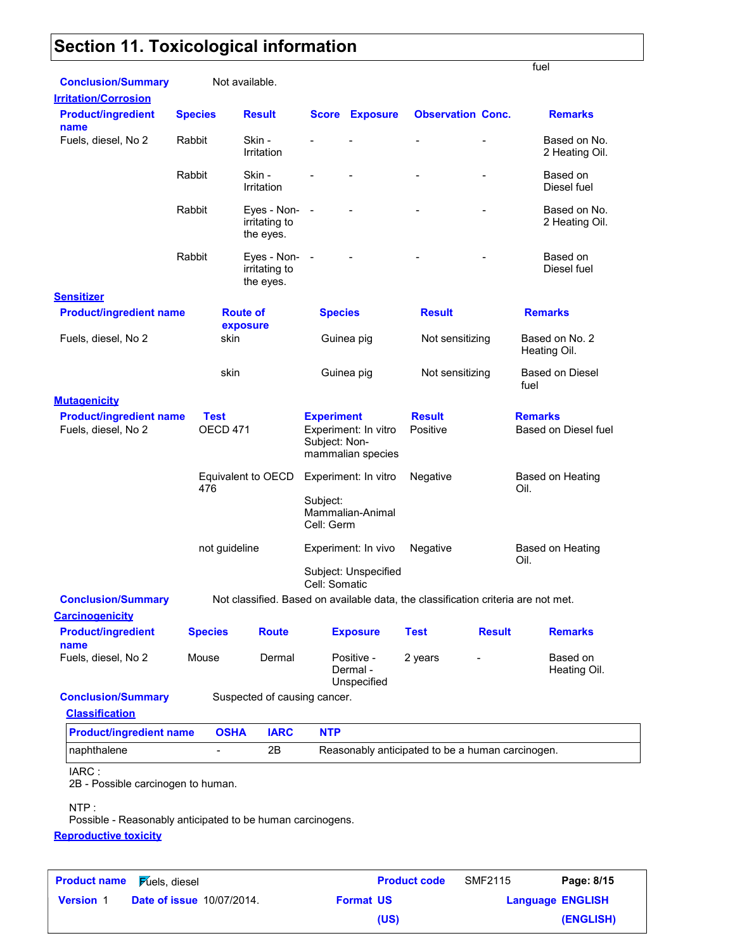# **Section 11. Toxicological information**

|                                                            |                                |                                                                                   |                                    |                                           |                                                  |                          | fuel                                   |
|------------------------------------------------------------|--------------------------------|-----------------------------------------------------------------------------------|------------------------------------|-------------------------------------------|--------------------------------------------------|--------------------------|----------------------------------------|
| <b>Conclusion/Summary</b><br><b>Irritation/Corrosion</b>   |                                | Not available.                                                                    |                                    |                                           |                                                  |                          |                                        |
| <b>Product/ingredient</b><br>name                          | <b>Species</b>                 | <b>Result</b>                                                                     | Score                              | <b>Exposure</b>                           |                                                  | <b>Observation Conc.</b> | <b>Remarks</b>                         |
| Fuels, diesel, No 2                                        | Rabbit                         | Skin -<br>Irritation                                                              |                                    |                                           |                                                  |                          | Based on No.<br>2 Heating Oil.         |
|                                                            | Rabbit                         | Skin -<br>Irritation                                                              |                                    |                                           |                                                  |                          | Based on<br>Diesel fuel                |
|                                                            | Rabbit                         | Eyes - Non-<br>irritating to<br>the eyes.                                         | $\blacksquare$                     |                                           |                                                  |                          | Based on No.<br>2 Heating Oil.         |
|                                                            | Rabbit                         | Eyes - Non-<br>irritating to<br>the eyes.                                         | $\blacksquare$                     |                                           |                                                  |                          | Based on<br>Diesel fuel                |
| <b>Sensitizer</b>                                          |                                |                                                                                   |                                    |                                           |                                                  |                          |                                        |
| <b>Product/ingredient name</b>                             |                                | <b>Route of</b><br>exposure                                                       | <b>Species</b>                     |                                           | <b>Result</b>                                    |                          | <b>Remarks</b>                         |
| Fuels, diesel, No 2                                        | skin                           |                                                                                   |                                    | Guinea pig                                | Not sensitizing                                  |                          | Based on No. 2<br>Heating Oil.         |
|                                                            | skin                           |                                                                                   |                                    | Guinea pig                                | Not sensitizing                                  |                          | Based on Diesel<br>fuel                |
| <b>Mutagenicity</b>                                        |                                |                                                                                   |                                    |                                           |                                                  |                          |                                        |
| <b>Product/ingredient name</b><br>Fuels, diesel, No 2      | <b>Test</b><br><b>OECD 471</b> |                                                                                   | <b>Experiment</b><br>Subject: Non- | Experiment: In vitro<br>mammalian species | <b>Result</b><br>Positive                        |                          | <b>Remarks</b><br>Based on Diesel fuel |
|                                                            | 476                            | Equivalent to OECD                                                                | Subject:                           | Experiment: In vitro<br>Mammalian-Animal  | Negative                                         |                          | Based on Heating<br>Oil.               |
|                                                            |                                |                                                                                   | Cell: Germ                         |                                           |                                                  |                          |                                        |
|                                                            | not guideline                  |                                                                                   |                                    | Experiment: In vivo                       | Negative                                         |                          | Based on Heating<br>Oil.               |
|                                                            |                                |                                                                                   | Cell: Somatic                      | Subject: Unspecified                      |                                                  |                          |                                        |
| <b>Conclusion/Summary</b>                                  |                                | Not classified. Based on available data, the classification criteria are not met. |                                    |                                           |                                                  |                          |                                        |
| <b>Carcinogenicity</b>                                     |                                |                                                                                   |                                    |                                           |                                                  |                          |                                        |
| <b>Product/ingredient</b><br>name                          | <b>Species</b>                 | <b>Route</b>                                                                      |                                    | <b>Exposure</b>                           | <b>Test</b>                                      | <b>Result</b>            | <b>Remarks</b>                         |
| Fuels, diesel, No 2                                        | Mouse                          | Dermal                                                                            |                                    | Positive -<br>Dermal -<br>Unspecified     | 2 years                                          |                          | Based on<br>Heating Oil.               |
| <b>Conclusion/Summary</b>                                  |                                | Suspected of causing cancer.                                                      |                                    |                                           |                                                  |                          |                                        |
| <b>Classification</b>                                      |                                |                                                                                   |                                    |                                           |                                                  |                          |                                        |
| <b>Product/ingredient name</b>                             | <b>OSHA</b>                    | <b>IARC</b>                                                                       | <b>NTP</b>                         |                                           |                                                  |                          |                                        |
| naphthalene                                                |                                | 2B                                                                                |                                    |                                           | Reasonably anticipated to be a human carcinogen. |                          |                                        |
| IARC:<br>2B - Possible carcinogen to human.<br>NTP:        |                                |                                                                                   |                                    |                                           |                                                  |                          |                                        |
| Possible - Reasonably anticipated to be human carcinogens. |                                |                                                                                   |                                    |                                           |                                                  |                          |                                        |

**Reproductive toxicity**

| <b>Product name</b> | <del>F</del> úels, diesel        |                  | <b>Product code</b> | SMF2115 | Page: 8/15              |
|---------------------|----------------------------------|------------------|---------------------|---------|-------------------------|
| <b>Version 1</b>    | <b>Date of issue 10/07/2014.</b> | <b>Format US</b> |                     |         | <b>Language ENGLISH</b> |
|                     |                                  |                  | (US)                |         | (ENGLISH)               |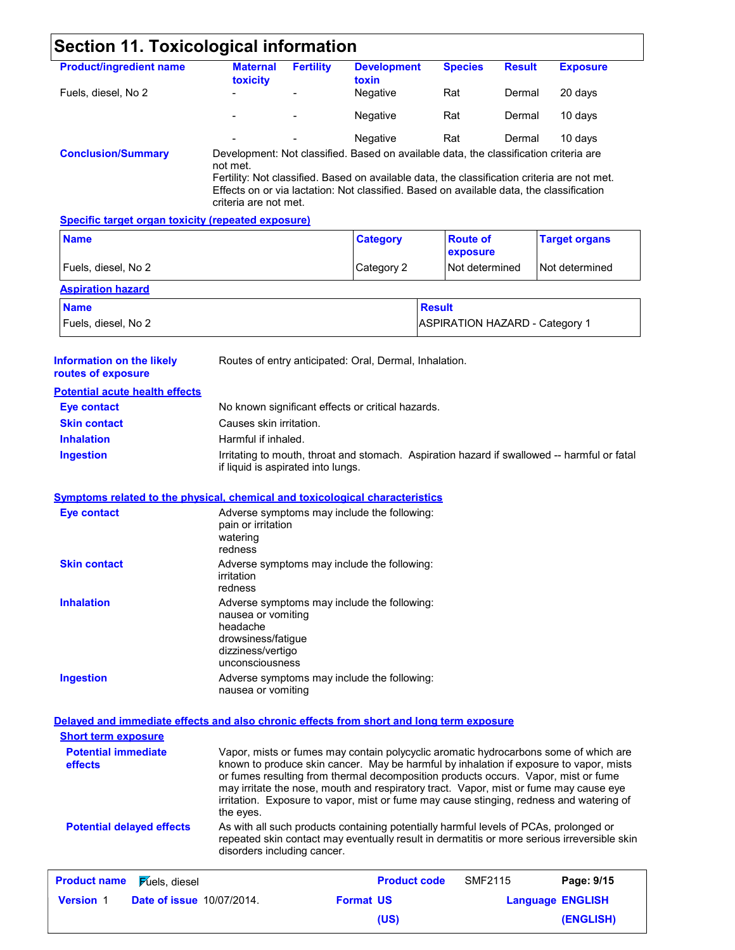| <b>Section 11. Toxicological information</b>                                             |                                                                                                                                             |                  |                                                        |                |                                       |                                                                                                                                                                                                                                                                                                                                                                                                                                                          |
|------------------------------------------------------------------------------------------|---------------------------------------------------------------------------------------------------------------------------------------------|------------------|--------------------------------------------------------|----------------|---------------------------------------|----------------------------------------------------------------------------------------------------------------------------------------------------------------------------------------------------------------------------------------------------------------------------------------------------------------------------------------------------------------------------------------------------------------------------------------------------------|
| <b>Product/ingredient name</b>                                                           | <b>Maternal</b>                                                                                                                             | <b>Fertility</b> | <b>Development</b>                                     | <b>Species</b> | <b>Result</b>                         | <b>Exposure</b>                                                                                                                                                                                                                                                                                                                                                                                                                                          |
| Fuels, diesel, No 2                                                                      | toxicity                                                                                                                                    |                  | toxin<br>Negative                                      | Rat            | Dermal                                | 20 days                                                                                                                                                                                                                                                                                                                                                                                                                                                  |
|                                                                                          |                                                                                                                                             |                  | Negative                                               | Rat            | Dermal                                | 10 days                                                                                                                                                                                                                                                                                                                                                                                                                                                  |
|                                                                                          |                                                                                                                                             |                  | Negative                                               | Rat            | Dermal                                | 10 days                                                                                                                                                                                                                                                                                                                                                                                                                                                  |
| <b>Conclusion/Summary</b>                                                                | Development: Not classified. Based on available data, the classification criteria are                                                       |                  |                                                        |                |                                       |                                                                                                                                                                                                                                                                                                                                                                                                                                                          |
|                                                                                          | not met.<br>Effects on or via lactation: Not classified. Based on available data, the classification<br>criteria are not met.               |                  |                                                        |                |                                       | Fertility: Not classified. Based on available data, the classification criteria are not met.                                                                                                                                                                                                                                                                                                                                                             |
| <b>Specific target organ toxicity (repeated exposure)</b>                                |                                                                                                                                             |                  |                                                        |                |                                       |                                                                                                                                                                                                                                                                                                                                                                                                                                                          |
| <b>Name</b>                                                                              |                                                                                                                                             |                  | <b>Category</b>                                        |                | <b>Route of</b><br>exposure           | <b>Target organs</b>                                                                                                                                                                                                                                                                                                                                                                                                                                     |
| Fuels, diesel, No 2                                                                      |                                                                                                                                             |                  | Category 2                                             |                | Not determined                        | Not determined                                                                                                                                                                                                                                                                                                                                                                                                                                           |
| <b>Aspiration hazard</b>                                                                 |                                                                                                                                             |                  |                                                        |                |                                       |                                                                                                                                                                                                                                                                                                                                                                                                                                                          |
| <b>Name</b>                                                                              |                                                                                                                                             |                  |                                                        | <b>Result</b>  |                                       |                                                                                                                                                                                                                                                                                                                                                                                                                                                          |
| Fuels, diesel, No 2                                                                      |                                                                                                                                             |                  |                                                        |                | <b>ASPIRATION HAZARD - Category 1</b> |                                                                                                                                                                                                                                                                                                                                                                                                                                                          |
| <b>Information on the likely</b><br>routes of exposure                                   |                                                                                                                                             |                  | Routes of entry anticipated: Oral, Dermal, Inhalation. |                |                                       |                                                                                                                                                                                                                                                                                                                                                                                                                                                          |
| <b>Potential acute health effects</b>                                                    |                                                                                                                                             |                  |                                                        |                |                                       |                                                                                                                                                                                                                                                                                                                                                                                                                                                          |
| <b>Eye contact</b>                                                                       |                                                                                                                                             |                  | No known significant effects or critical hazards.      |                |                                       |                                                                                                                                                                                                                                                                                                                                                                                                                                                          |
| <b>Skin contact</b>                                                                      | Causes skin irritation.                                                                                                                     |                  |                                                        |                |                                       |                                                                                                                                                                                                                                                                                                                                                                                                                                                          |
| <b>Inhalation</b>                                                                        | Harmful if inhaled.                                                                                                                         |                  |                                                        |                |                                       |                                                                                                                                                                                                                                                                                                                                                                                                                                                          |
| <b>Ingestion</b>                                                                         | if liquid is aspirated into lungs.                                                                                                          |                  |                                                        |                |                                       | Irritating to mouth, throat and stomach. Aspiration hazard if swallowed -- harmful or fatal                                                                                                                                                                                                                                                                                                                                                              |
|                                                                                          |                                                                                                                                             |                  |                                                        |                |                                       |                                                                                                                                                                                                                                                                                                                                                                                                                                                          |
| <b>Symptoms related to the physical, chemical and toxicological characteristics</b>      |                                                                                                                                             |                  |                                                        |                |                                       |                                                                                                                                                                                                                                                                                                                                                                                                                                                          |
| <b>Eye contact</b>                                                                       | pain or irritation<br>watering<br>redness                                                                                                   |                  | Adverse symptoms may include the following:            |                |                                       |                                                                                                                                                                                                                                                                                                                                                                                                                                                          |
| <b>Skin contact</b>                                                                      | Adverse symptoms may include the following:<br>irritation<br>redness                                                                        |                  |                                                        |                |                                       |                                                                                                                                                                                                                                                                                                                                                                                                                                                          |
| <b>Inhalation</b>                                                                        | Adverse symptoms may include the following:<br>nausea or vomiting<br>headache<br>drowsiness/fatigue<br>dizziness/vertigo<br>unconsciousness |                  |                                                        |                |                                       |                                                                                                                                                                                                                                                                                                                                                                                                                                                          |
| <b>Ingestion</b>                                                                         | Adverse symptoms may include the following:<br>nausea or vomiting                                                                           |                  |                                                        |                |                                       |                                                                                                                                                                                                                                                                                                                                                                                                                                                          |
| Delayed and immediate effects and also chronic effects from short and long term exposure |                                                                                                                                             |                  |                                                        |                |                                       |                                                                                                                                                                                                                                                                                                                                                                                                                                                          |
| <b>Short term exposure</b>                                                               |                                                                                                                                             |                  |                                                        |                |                                       |                                                                                                                                                                                                                                                                                                                                                                                                                                                          |
| <b>Potential immediate</b><br>effects                                                    | the eyes.                                                                                                                                   |                  |                                                        |                |                                       | Vapor, mists or fumes may contain polycyclic aromatic hydrocarbons some of which are<br>known to produce skin cancer. May be harmful by inhalation if exposure to vapor, mists<br>or fumes resulting from thermal decomposition products occurs. Vapor, mist or fume<br>may irritate the nose, mouth and respiratory tract. Vapor, mist or fume may cause eye<br>irritation. Exposure to vapor, mist or fume may cause stinging, redness and watering of |
| <b>Potential delayed effects</b>                                                         | disorders including cancer.                                                                                                                 |                  |                                                        |                |                                       | As with all such products containing potentially harmful levels of PCAs, prolonged or                                                                                                                                                                                                                                                                                                                                                                    |
| <b>Product name</b><br><b>Fuels</b> , diesel                                             |                                                                                                                                             |                  | <b>Product code</b>                                    |                | <b>SMF2115</b>                        | Page: 9/15                                                                                                                                                                                                                                                                                                                                                                                                                                               |
| <b>Date of issue 10/07/2014.</b><br><b>Version 1</b>                                     |                                                                                                                                             |                  | <b>Format US</b>                                       |                |                                       | repeated skin contact may eventually result in dermatitis or more serious irreversible skin<br><b>Language ENGLISH</b>                                                                                                                                                                                                                                                                                                                                   |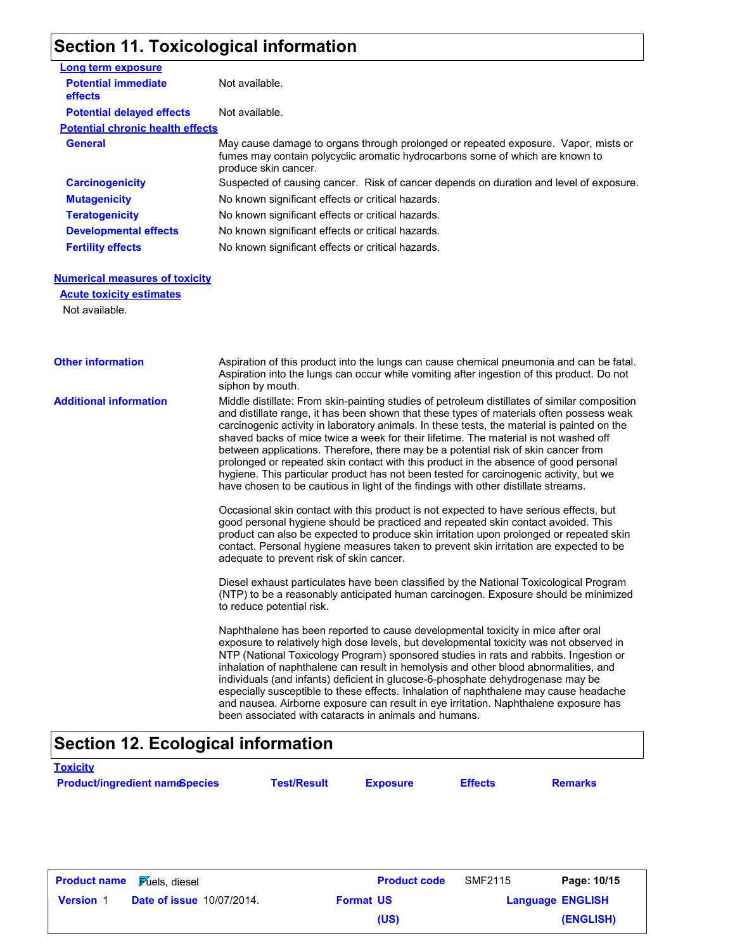## **Section 11. Toxicological information**

| Long term exposure                           |                                                                                                                                                                                             |
|----------------------------------------------|---------------------------------------------------------------------------------------------------------------------------------------------------------------------------------------------|
| <b>Potential immediate</b><br><b>effects</b> | Not available.                                                                                                                                                                              |
| <b>Potential delayed effects</b>             | Not available.                                                                                                                                                                              |
| <b>Potential chronic health effects</b>      |                                                                                                                                                                                             |
| General                                      | May cause damage to organs through prolonged or repeated exposure. Vapor, mists or<br>fumes may contain polycyclic aromatic hydrocarbons some of which are known to<br>produce skin cancer. |
| <b>Carcinogenicity</b>                       | Suspected of causing cancer. Risk of cancer depends on duration and level of exposure.                                                                                                      |
| <b>Mutagenicity</b>                          | No known significant effects or critical hazards.                                                                                                                                           |
| <b>Teratogenicity</b>                        | No known significant effects or critical hazards.                                                                                                                                           |
| <b>Developmental effects</b>                 | No known significant effects or critical hazards.                                                                                                                                           |
| <b>Fertility effects</b>                     | No known significant effects or critical hazards.                                                                                                                                           |

### **Numerical measures of toxicity**

**Acute toxicity estimates**

Not available.

**Toxicity**

| <b>Other information</b>      | Aspiration of this product into the lungs can cause chemical pneumonia and can be fatal.                                                                                                                                                                                                                                                                                                                                                                                                                                                                                                                                                                                                                                                       |
|-------------------------------|------------------------------------------------------------------------------------------------------------------------------------------------------------------------------------------------------------------------------------------------------------------------------------------------------------------------------------------------------------------------------------------------------------------------------------------------------------------------------------------------------------------------------------------------------------------------------------------------------------------------------------------------------------------------------------------------------------------------------------------------|
|                               | Aspiration into the lungs can occur while vomiting after ingestion of this product. Do not<br>siphon by mouth.                                                                                                                                                                                                                                                                                                                                                                                                                                                                                                                                                                                                                                 |
| <b>Additional information</b> | Middle distillate: From skin-painting studies of petroleum distillates of similar composition<br>and distillate range, it has been shown that these types of materials often possess weak<br>carcinogenic activity in laboratory animals. In these tests, the material is painted on the<br>shaved backs of mice twice a week for their lifetime. The material is not washed off<br>between applications. Therefore, there may be a potential risk of skin cancer from<br>prolonged or repeated skin contact with this product in the absence of good personal<br>hygiene. This particular product has not been tested for carcinogenic activity, but we<br>have chosen to be cautious in light of the findings with other distillate streams. |
|                               | Occasional skin contact with this product is not expected to have serious effects, but<br>good personal hygiene should be practiced and repeated skin contact avoided. This<br>product can also be expected to produce skin irritation upon prolonged or repeated skin<br>contact. Personal hygiene measures taken to prevent skin irritation are expected to be<br>adequate to prevent risk of skin cancer.                                                                                                                                                                                                                                                                                                                                   |
|                               | Diesel exhaust particulates have been classified by the National Toxicological Program<br>(NTP) to be a reasonably anticipated human carcinogen. Exposure should be minimized<br>to reduce potential risk.                                                                                                                                                                                                                                                                                                                                                                                                                                                                                                                                     |
|                               | Naphthalene has been reported to cause developmental toxicity in mice after oral<br>exposure to relatively high dose levels, but developmental toxicity was not observed in<br>NTP (National Toxicology Program) sponsored studies in rats and rabbits. Ingestion or<br>inhalation of naphthalene can result in hemolysis and other blood abnormalities, and<br>individuals (and infants) deficient in glucose-6-phosphate dehydrogenase may be<br>especially susceptible to these effects. Inhalation of naphthalene may cause headache<br>and nausea. Airborne exposure can result in eye irritation. Naphthalene exposure has<br>been associated with cataracts in animals and humans.                                                      |

## **Section 12. Ecological information**

| <b>Product name</b> | <b>Fuels</b> , diesel            |                  | <b>Product code</b> | <b>SMF2115</b> | Page: 10/15             |
|---------------------|----------------------------------|------------------|---------------------|----------------|-------------------------|
| <b>Version 1</b>    | <b>Date of issue 10/07/2014.</b> | <b>Format US</b> |                     |                | <b>Language ENGLISH</b> |
|                     |                                  |                  | (US)                |                | (ENGLISH)               |

**Product/ingredient nameSpecies Test/Result Exposure Effects Remarks**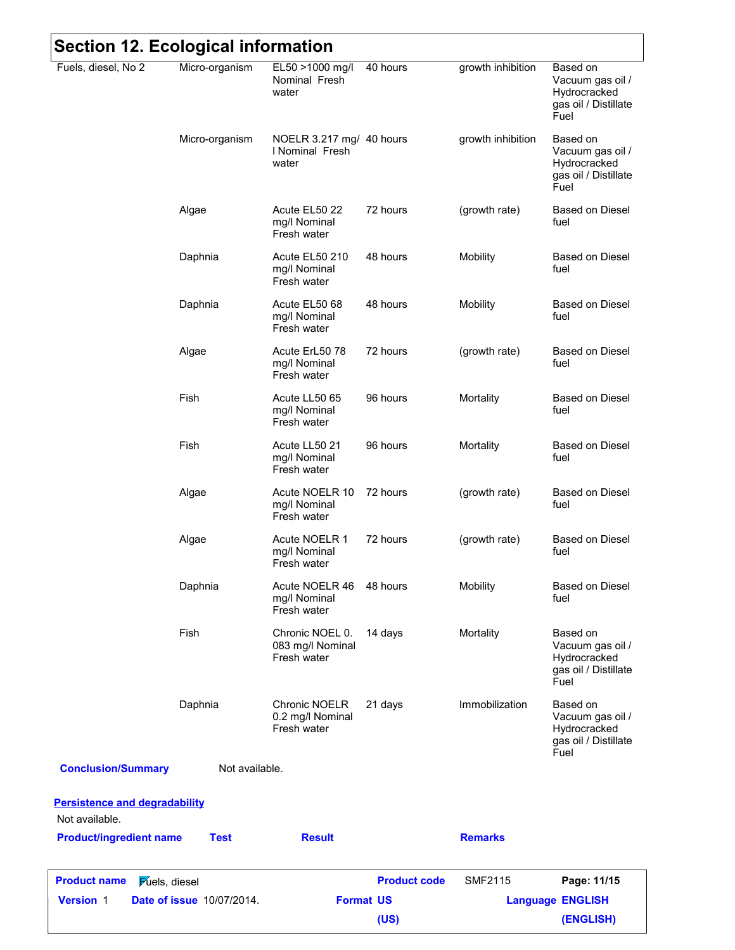| Fuels, diesel, No 2                                    | Micro-organism                   | EL50 >1000 mg/l<br>Nominal Fresh<br>water            | 40 hours            | growth inhibition | Based on<br>Vacuum gas oil /<br>Hydrocracked                                 |  |  |
|--------------------------------------------------------|----------------------------------|------------------------------------------------------|---------------------|-------------------|------------------------------------------------------------------------------|--|--|
|                                                        |                                  |                                                      |                     |                   | gas oil / Distillate<br>Fuel                                                 |  |  |
|                                                        | Micro-organism                   | NOELR 3.217 mg/ 40 hours<br>I Nominal Fresh<br>water |                     | growth inhibition | Based on<br>Vacuum gas oil /<br>Hydrocracked<br>gas oil / Distillate<br>Fuel |  |  |
|                                                        | Algae                            | Acute EL50 22<br>mg/l Nominal<br>Fresh water         | 72 hours            | (growth rate)     | <b>Based on Diesel</b><br>fuel                                               |  |  |
|                                                        | Daphnia                          | Acute EL50 210<br>mg/l Nominal<br>Fresh water        | 48 hours            | Mobility          | <b>Based on Diesel</b><br>fuel                                               |  |  |
|                                                        | Daphnia                          | Acute EL50 68<br>mg/l Nominal<br>Fresh water         | 48 hours            | Mobility          | <b>Based on Diesel</b><br>fuel                                               |  |  |
|                                                        | Algae                            | Acute ErL50 78<br>mg/l Nominal<br>Fresh water        | 72 hours            | (growth rate)     | Based on Diesel<br>fuel                                                      |  |  |
|                                                        | Fish                             | Acute LL50 65<br>mg/l Nominal<br>Fresh water         | 96 hours            | Mortality         | <b>Based on Diesel</b><br>fuel                                               |  |  |
|                                                        | Fish                             | Acute LL50 21<br>mg/l Nominal<br>Fresh water         | 96 hours            | Mortality         | <b>Based on Diesel</b><br>fuel                                               |  |  |
|                                                        | Algae                            | Acute NOELR 10<br>mg/l Nominal<br>Fresh water        | 72 hours            | (growth rate)     | <b>Based on Diesel</b><br>fuel                                               |  |  |
|                                                        | Algae                            | Acute NOELR 1<br>mg/l Nominal<br>Fresh water         | 72 hours            | (growth rate)     | <b>Based on Diesel</b><br>fuel                                               |  |  |
|                                                        | Daphnia                          | Acute NOELR 46<br>mg/l Nominal<br>Fresh water        | 48 hours            | Mobility          | <b>Based on Diesel</b><br>fuel                                               |  |  |
|                                                        | Fish                             | Chronic NOEL 0.<br>083 mg/l Nominal<br>Fresh water   | 14 days             | Mortality         | Based on<br>Vacuum gas oil /<br>Hydrocracked<br>gas oil / Distillate<br>Fuel |  |  |
|                                                        | Daphnia                          | Chronic NOELR<br>0.2 mg/l Nominal<br>Fresh water     | 21 days             | Immobilization    | Based on<br>Vacuum gas oil /<br>Hydrocracked<br>gas oil / Distillate<br>Fuel |  |  |
| <b>Conclusion/Summary</b>                              | Not available.                   |                                                      |                     |                   |                                                                              |  |  |
| <b>Persistence and degradability</b><br>Not available. |                                  |                                                      |                     |                   |                                                                              |  |  |
| <b>Product/ingredient name</b>                         | <b>Test</b>                      | <b>Result</b>                                        |                     | <b>Remarks</b>    |                                                                              |  |  |
| <b>Product name</b><br><b>Fuels</b> , diesel           |                                  |                                                      | <b>Product code</b> | <b>SMF2115</b>    | Page: 11/15                                                                  |  |  |
| <b>Version 1</b>                                       | <b>Date of issue 10/07/2014.</b> |                                                      | <b>Format US</b>    |                   | <b>Language ENGLISH</b>                                                      |  |  |
|                                                        |                                  |                                                      | (US)                |                   | (ENGLISH)                                                                    |  |  |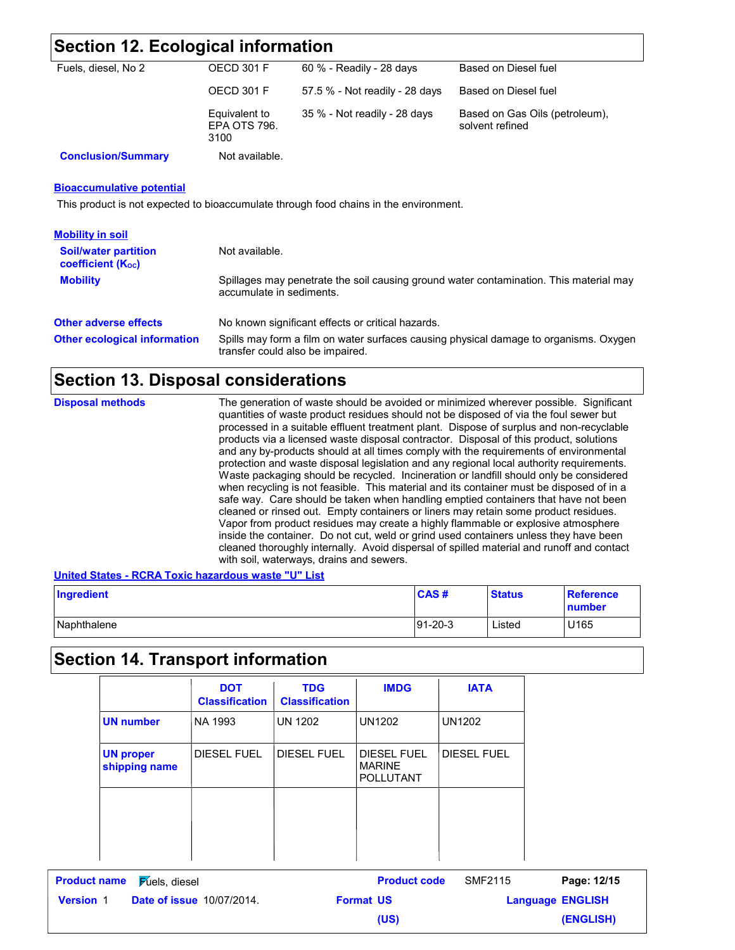## **Section 12. Ecological information**

| Fuels, diesel, No 2       | OECD 301 F                            | 60 % - Readily - 28 days       | Based on Diesel fuel                              |
|---------------------------|---------------------------------------|--------------------------------|---------------------------------------------------|
|                           | OECD 301 F                            | 57.5 % - Not readily - 28 days | Based on Diesel fuel                              |
|                           | Equivalent to<br>EPA OTS 796.<br>3100 | $35\%$ - Not readily - 28 days | Based on Gas Oils (petroleum).<br>solvent refined |
| <b>Conclusion/Summary</b> | Not available.                        |                                |                                                   |

### **Bioaccumulative potential**

This product is not expected to bioaccumulate through food chains in the environment.

| <b>Mobility in soil</b>                                       |                                                                                                                           |
|---------------------------------------------------------------|---------------------------------------------------------------------------------------------------------------------------|
| <b>Soil/water partition</b><br>coefficient (K <sub>oc</sub> ) | Not available.                                                                                                            |
| <b>Mobility</b>                                               | Spillages may penetrate the soil causing ground water contamination. This material may<br>accumulate in sediments.        |
| <b>Other adverse effects</b>                                  | No known significant effects or critical hazards.                                                                         |
| <b>Other ecological information</b>                           | Spills may form a film on water surfaces causing physical damage to organisms. Oxygen<br>transfer could also be impaired. |

## **Section 13. Disposal considerations**

| and any by-products should at all times comply with the requirements of environmental<br>protection and waste disposal legislation and any regional local authority requirements.<br>Waste packaging should be recycled. Incineration or landfill should only be considered<br>when recycling is not feasible. This material and its container must be disposed of in a<br>safe way. Care should be taken when handling emptied containers that have not been<br>cleaned or rinsed out. Empty containers or liners may retain some product residues.<br>Vapor from product residues may create a highly flammable or explosive atmosphere<br>inside the container. Do not cut, weld or grind used containers unless they have been<br>cleaned thoroughly internally. Avoid dispersal of spilled material and runoff and contact<br>with soil, waterways, drains and sewers. | <b>Disposal methods</b> | The generation of waste should be avoided or minimized wherever possible. Significant<br>quantities of waste product residues should not be disposed of via the foul sewer but<br>processed in a suitable effluent treatment plant. Dispose of surplus and non-recyclable<br>products via a licensed waste disposal contractor. Disposal of this product, solutions |  |
|-----------------------------------------------------------------------------------------------------------------------------------------------------------------------------------------------------------------------------------------------------------------------------------------------------------------------------------------------------------------------------------------------------------------------------------------------------------------------------------------------------------------------------------------------------------------------------------------------------------------------------------------------------------------------------------------------------------------------------------------------------------------------------------------------------------------------------------------------------------------------------|-------------------------|---------------------------------------------------------------------------------------------------------------------------------------------------------------------------------------------------------------------------------------------------------------------------------------------------------------------------------------------------------------------|--|
|-----------------------------------------------------------------------------------------------------------------------------------------------------------------------------------------------------------------------------------------------------------------------------------------------------------------------------------------------------------------------------------------------------------------------------------------------------------------------------------------------------------------------------------------------------------------------------------------------------------------------------------------------------------------------------------------------------------------------------------------------------------------------------------------------------------------------------------------------------------------------------|-------------------------|---------------------------------------------------------------------------------------------------------------------------------------------------------------------------------------------------------------------------------------------------------------------------------------------------------------------------------------------------------------------|--|

### **United States - RCRA Toxic hazardous waste "U" List**

| Ingredient  | <b>CAS#</b>    | <b>Status</b> | <b>Reference</b><br>number |
|-------------|----------------|---------------|----------------------------|
| Naphthalene | $191 - 20 - 3$ | Listed        | U165                       |

## **Section 14. Transport information**

|                                              | <b>DOT</b><br><b>Classification</b> | <b>TDG</b><br><b>Classification</b> | <b>IMDG</b>                                             | <b>IATA</b>        |
|----------------------------------------------|-------------------------------------|-------------------------------------|---------------------------------------------------------|--------------------|
| <b>UN number</b>                             | NA 1993                             | <b>UN 1202</b>                      | <b>UN1202</b>                                           | <b>UN1202</b>      |
| <b>UN proper</b><br>shipping name            | <b>DIESEL FUEL</b>                  | <b>DIESEL FUEL</b>                  | <b>DIESEL FUEL</b><br><b>MARINE</b><br><b>POLLUTANT</b> | <b>DIESEL FUEL</b> |
|                                              |                                     |                                     |                                                         |                    |
|                                              |                                     |                                     |                                                         |                    |
| <b>Product name</b><br><b>Fuels</b> , diesel |                                     |                                     | <b>Product code</b>                                     | <b>SMF2115</b>     |

**Date of issue** 10/07/2014. **Version** 1 **Format US Language** Page: 12/15 **Language ENGLISH (ENGLISH) (US)**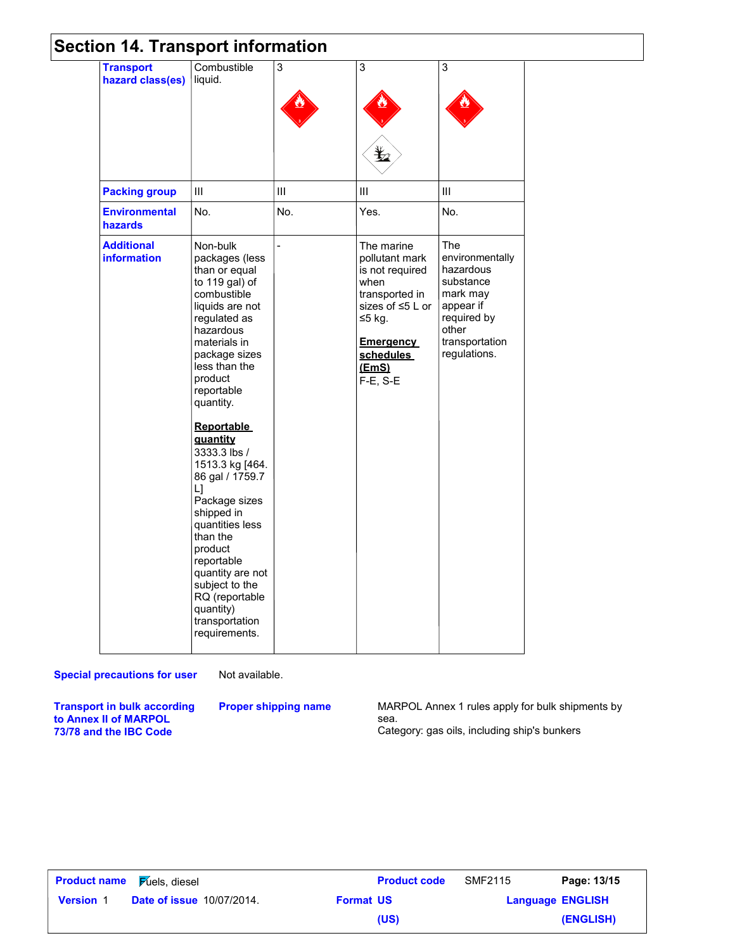## **Section 14. Transport information**

| <b>Transport</b><br>hazard class(es)    | Combustible<br>liquid.                                                                                                                                                                                                                                                                                                                                                                                                                                                                                           | 3   | 3                                                                                                                                                                  | 3                                                                                                                                   |
|-----------------------------------------|------------------------------------------------------------------------------------------------------------------------------------------------------------------------------------------------------------------------------------------------------------------------------------------------------------------------------------------------------------------------------------------------------------------------------------------------------------------------------------------------------------------|-----|--------------------------------------------------------------------------------------------------------------------------------------------------------------------|-------------------------------------------------------------------------------------------------------------------------------------|
|                                         |                                                                                                                                                                                                                                                                                                                                                                                                                                                                                                                  |     | Ł2                                                                                                                                                                 |                                                                                                                                     |
| <b>Packing group</b>                    | III                                                                                                                                                                                                                                                                                                                                                                                                                                                                                                              | Ш   | Ш                                                                                                                                                                  | III                                                                                                                                 |
| <b>Environmental</b><br>hazards         | No.                                                                                                                                                                                                                                                                                                                                                                                                                                                                                                              | No. | Yes.                                                                                                                                                               | No.                                                                                                                                 |
| <b>Additional</b><br><b>information</b> | Non-bulk<br>packages (less<br>than or equal<br>to 119 gal) of<br>combustible<br>liquids are not<br>regulated as<br>hazardous<br>materials in<br>package sizes<br>less than the<br>product<br>reportable<br>quantity.<br><b>Reportable</b><br>quantity<br>3333.3 lbs /<br>1513.3 kg [464.<br>86 gal / 1759.7<br>LJ<br>Package sizes<br>shipped in<br>quantities less<br>than the<br>product<br>reportable<br>quantity are not<br>subject to the<br>RQ (reportable<br>quantity)<br>transportation<br>requirements. |     | The marine<br>pollutant mark<br>is not required<br>when<br>transported in<br>sizes of ≤5 L or<br>≤5 kg.<br><u>Emergency</u><br>schedules<br>(EmS)<br>$F-E$ , $S-E$ | The<br>environmentally<br>hazardous<br>substance<br>mark may<br>appear if<br>required by<br>other<br>transportation<br>regulations. |

### **Special precautions for user**

Not available.

**Proper shipping name**

**Transport in bulk according to Annex II of MARPOL 73/78 and the IBC Code**

MARPOL Annex 1 rules apply for bulk shipments by sea. Category: gas oils, including ship's bunkers

| <b>Product name Fulgion</b> Fulleting <b>Figure</b> |                                  |                  | <b>Product code</b> | SMF2115                 | Page: 13/15 |
|-----------------------------------------------------|----------------------------------|------------------|---------------------|-------------------------|-------------|
| <b>Version 1</b>                                    | <b>Date of issue 10/07/2014.</b> | <b>Format US</b> |                     | <b>Language ENGLISH</b> |             |
|                                                     |                                  |                  | (US)                |                         | (ENGLISH)   |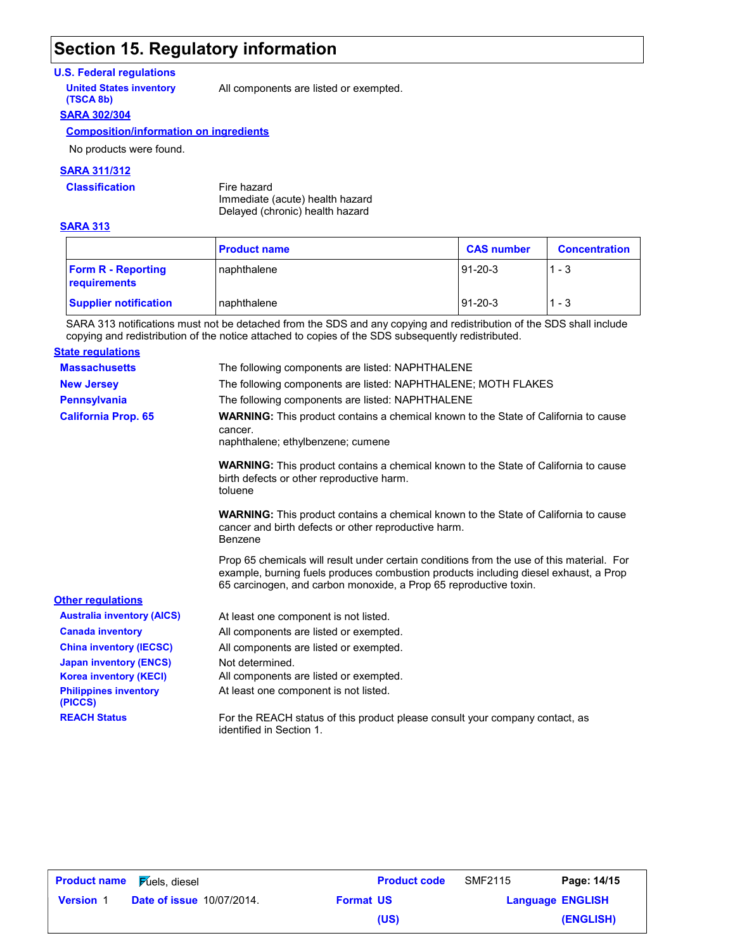## **Section 15. Regulatory information**

### **U.S. Federal regulations**

**(TSCA 8b)**

**United States inventory** All components are listed or exempted.

### **SARA 302/304**

### **Composition/information on ingredients**

No products were found.

### **SARA 311/312**

**Classification** Fire hazard

Immediate (acute) health hazard Delayed (chronic) health hazard

### **SARA 313**

|                                           | <b>Product name</b> | <b>CAS number</b> | <b>Concentration</b> |
|-------------------------------------------|---------------------|-------------------|----------------------|
| <b>Form R</b> - Reporting<br>requirements | naphthalene         | $191 - 20 - 3$    | $1 - 3$              |
| <b>Supplier notification</b>              | Inaphthalene        | $91-20-3$         | $1 - 3$              |

SARA 313 notifications must not be detached from the SDS and any copying and redistribution of the SDS shall include copying and redistribution of the notice attached to copies of the SDS subsequently redistributed.

| <b>State regulations</b>                |                                                                                                                                                                                                                                                        |
|-----------------------------------------|--------------------------------------------------------------------------------------------------------------------------------------------------------------------------------------------------------------------------------------------------------|
| <b>Massachusetts</b>                    | The following components are listed: NAPHTHALENE                                                                                                                                                                                                       |
| <b>New Jersey</b>                       | The following components are listed: NAPHTHALENE; MOTH FLAKES                                                                                                                                                                                          |
| <b>Pennsylvania</b>                     | The following components are listed: NAPHTHALENE                                                                                                                                                                                                       |
| <b>California Prop. 65</b>              | WARNING: This product contains a chemical known to the State of California to cause<br>cancer.<br>naphthalene; ethylbenzene; cumene                                                                                                                    |
|                                         | <b>WARNING:</b> This product contains a chemical known to the State of California to cause<br>birth defects or other reproductive harm.<br>toluene                                                                                                     |
|                                         | <b>WARNING:</b> This product contains a chemical known to the State of California to cause<br>cancer and birth defects or other reproductive harm.<br>Benzene                                                                                          |
|                                         | Prop 65 chemicals will result under certain conditions from the use of this material. For<br>example, burning fuels produces combustion products including diesel exhaust, a Prop<br>65 carcinogen, and carbon monoxide, a Prop 65 reproductive toxin. |
| <b>Other regulations</b>                |                                                                                                                                                                                                                                                        |
| <b>Australia inventory (AICS)</b>       | At least one component is not listed.                                                                                                                                                                                                                  |
| <b>Canada inventory</b>                 | All components are listed or exempted.                                                                                                                                                                                                                 |
| <b>China inventory (IECSC)</b>          | All components are listed or exempted.                                                                                                                                                                                                                 |
| <b>Japan inventory (ENCS)</b>           | Not determined.                                                                                                                                                                                                                                        |
| <b>Korea inventory (KECI)</b>           | All components are listed or exempted.                                                                                                                                                                                                                 |
| <b>Philippines inventory</b><br>(PICCS) | At least one component is not listed.                                                                                                                                                                                                                  |
| <b>REACH Status</b>                     | For the REACH status of this product please consult your company contact, as<br>identified in Section 1.                                                                                                                                               |

| <b>Product name</b> | Fuels, diesel                    |                  | <b>Product code</b> | SMF2115                 | Page: 14/15 |
|---------------------|----------------------------------|------------------|---------------------|-------------------------|-------------|
| <b>Version 1</b>    | <b>Date of issue 10/07/2014.</b> | <b>Format US</b> |                     | <b>Language ENGLISH</b> |             |
|                     |                                  |                  | (US)                |                         | (ENGLISH)   |